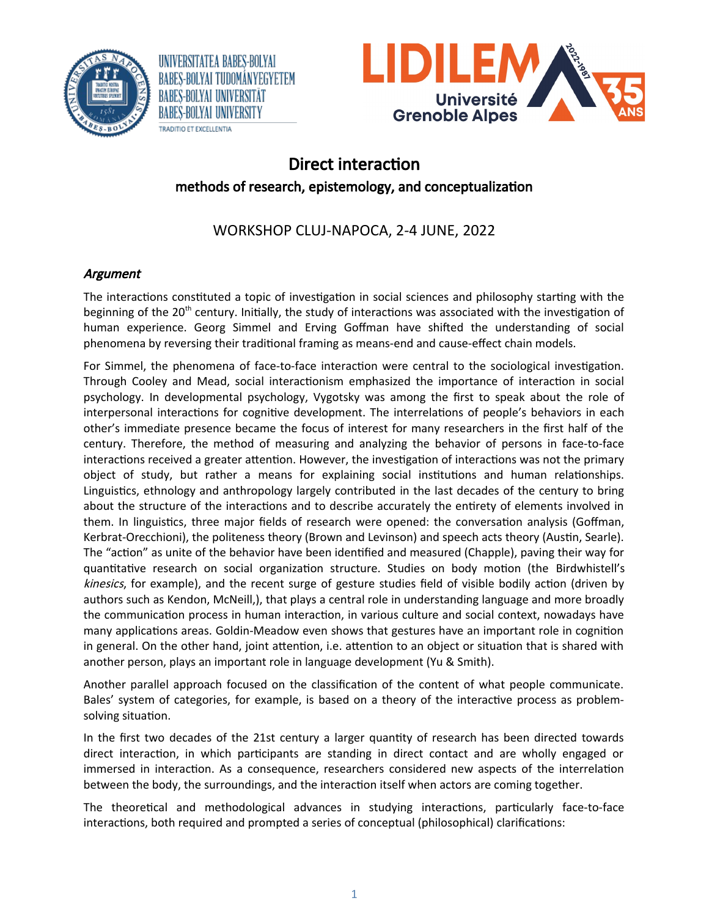





# Direct interaction methods of research, epistemology, and conceptualization

WORKSHOP CLUJ-NAPOCA, 2-4 JUNE, 2022

## Argument

The interactions constituted a topic of investigation in social sciences and philosophy starting with the beginning of the 20<sup>th</sup> century. Initially, the study of interactions was associated with the investigation of human experience. Georg Simmel and Erving Goffman have shifted the understanding of social phenomena by reversing their traditional framing as means-end and cause-effect chain models.

For Simmel, the phenomena of face-to-face interaction were central to the sociological investigation. Through Cooley and Mead, social interactionism emphasized the importance of interaction in social psychology. In developmental psychology, Vygotsky was among the first to speak about the role of interpersonal interactions for cognitive development. The interrelations of people's behaviors in each other's immediate presence became the focus of interest for many researchers in the first half of the century. Therefore, the method of measuring and analyzing the behavior of persons in face-to-face interactions received a greater attention. However, the investigation of interactions was not the primary object of study, but rather a means for explaining social institutions and human relationships. Linguistics, ethnology and anthropology largely contributed in the last decades of the century to bring about the structure of the interactions and to describe accurately the entirety of elements involved in them. In linguistics, three major fields of research were opened: the conversation analysis (Goffman, Kerbrat-Orecchioni), the politeness theory (Brown and Levinson) and speech acts theory (Austin, Searle). The "action" as unite of the behavior have been identified and measured (Chapple), paving their way for quantitative research on social organization structure. Studies on body motion (the Birdwhistell's kinesics, for example), and the recent surge of gesture studies field of visible bodily action (driven by authors such as Kendon, McNeill,), that plays a central role in understanding language and more broadly the communication process in human interaction, in various culture and social context, nowadays have many applications areas. Goldin-Meadow even shows that gestures have an important role in cognition in general. On the other hand, joint attention, i.e. attention to an object or situation that is shared with another person, plays an important role in language development (Yu & Smith).

Another parallel approach focused on the classification of the content of what people communicate. Bales' system of categories, for example, is based on a theory of the interactive process as problemsolving situation.

In the first two decades of the 21st century a larger quantity of research has been directed towards direct interaction, in which participants are standing in direct contact and are wholly engaged or immersed in interaction. As a consequence, researchers considered new aspects of the interrelation between the body, the surroundings, and the interaction itself when actors are coming together.

The theoretical and methodological advances in studying interactions, particularly face-to-face interactions, both required and prompted a series of conceptual (philosophical) clarifications: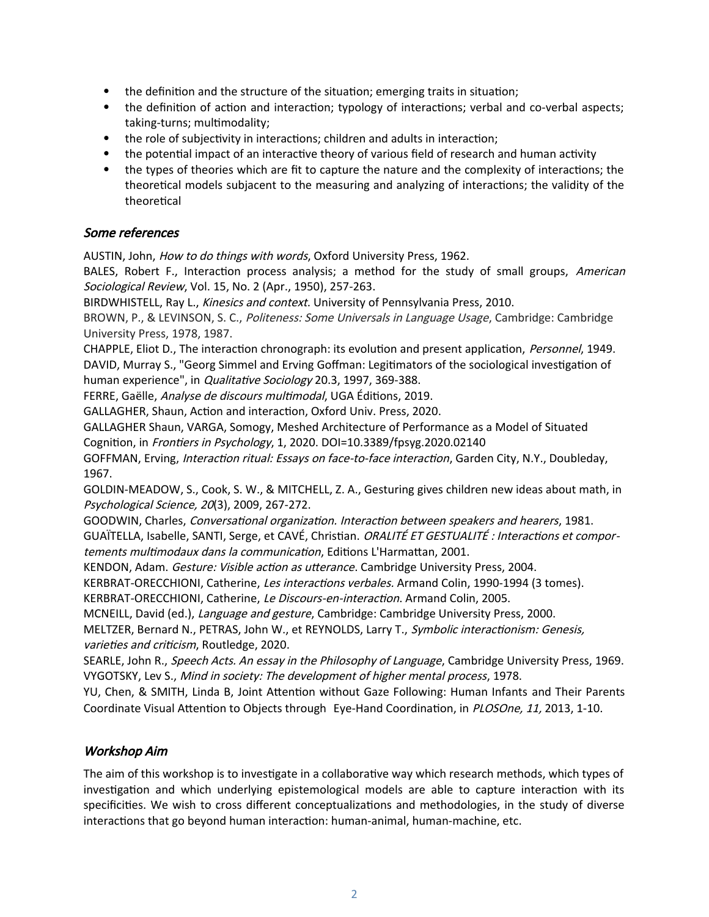- the definition and the structure of the situation; emerging traits in situation;
- the definition of action and interaction; typology of interactions; verbal and co-verbal aspects; taking-turns; multimodality;
- the role of subjectivity in interactions; children and adults in interaction;
- the potential impact of an interactive theory of various field of research and human activity
- the types of theories which are fit to capture the nature and the complexity of interactions; the theoretical models subjacent to the measuring and analyzing of interactions; the validity of the theoretical

## Some references

AUSTIN, John, How to do things with words, Oxford University Press, 1962.

BALES, Robert F., Interaction process analysis; a method for the study of small groups, American Sociological Review, Vol. 15, No. 2 (Apr., 1950), 257-263.

BIRDWHISTELL, Ray L., *Kinesics and context*. University of Pennsylvania Press, 2010.

BROWN, P., & LEVINSON, S. C., Politeness: Some Universals in Language Usage, Cambridge: Cambridge University Press, 1978, 1987.

CHAPPLE, Eliot D., The interaction chronograph: its evolution and present application, Personnel, 1949. DAVID, Murray S., "Georg Simmel and Erving Goffman: Legitimators of the sociological investigation of human experience", in Qualitative Sociology 20.3, 1997, 369-388.

FERRE, Gaëlle, Analyse de discours multimodal, UGA Éditions, 2019.

GALLAGHER, Shaun, Action and interaction, Oxford Univ. Press, 2020.

GALLAGHER Shaun, VARGA, Somogy, Meshed Architecture of Performance as a Model of Situated Cognition, in Frontiers in Psychology, 1, 2020. DOI=10.3389/fpsyg.2020.02140

GOFFMAN, Erving, Interaction ritual: Essays on face-to-face interaction, Garden City, N.Y., Doubleday, 1967.

GOLDIN-MEADOW, S., Cook, S. W., & MITCHELL, Z. A., Gesturing gives children new ideas about math, in Psychological Science, 20(3), 2009, 267-272.

GOODWIN, Charles, Conversational organization. Interaction between speakers and hearers, 1981. GUAÏTELLA, Isabelle, SANTI, Serge, et CAVÉ, Christian. ORALITÉ ET GESTUALITÉ : Interactions et comportements multimodaux dans la communication, Editions L'Harmattan, 2001.

KENDON, Adam. Gesture: Visible action as utterance. Cambridge University Press, 2004.

KERBRAT-ORECCHIONI, Catherine, Les interactions verbales. Armand Colin, 1990-1994 (3 tomes).

KERBRAT-ORECCHIONI, Catherine, Le Discours-en-interaction. Armand Colin, 2005.

MCNEILL, David (ed.), Language and gesture, Cambridge: Cambridge University Press, 2000.

MELTZER, Bernard N., PETRAS, John W., et REYNOLDS, Larry T., Symbolic interactionism: Genesis, varieties and criticism, Routledge, 2020.

SEARLE, John R., Speech Acts. An essay in the Philosophy of Language, Cambridge University Press, 1969. VYGOTSKY, Lev S., Mind in society: The development of higher mental process, 1978.

YU, Chen, & SMITH, Linda B, Joint Attention without Gaze Following: Human Infants and Their Parents Coordinate Visual Attention to Objects through Eye-Hand Coordination, in PLOSOne, 11, 2013, 1-10.

## Workshop Aim

The aim of this workshop is to investigate in a collaborative way which research methods, which types of investigation and which underlying epistemological models are able to capture interaction with its specificities. We wish to cross different conceptualizations and methodologies, in the study of diverse interactions that go beyond human interaction: human-animal, human-machine, etc.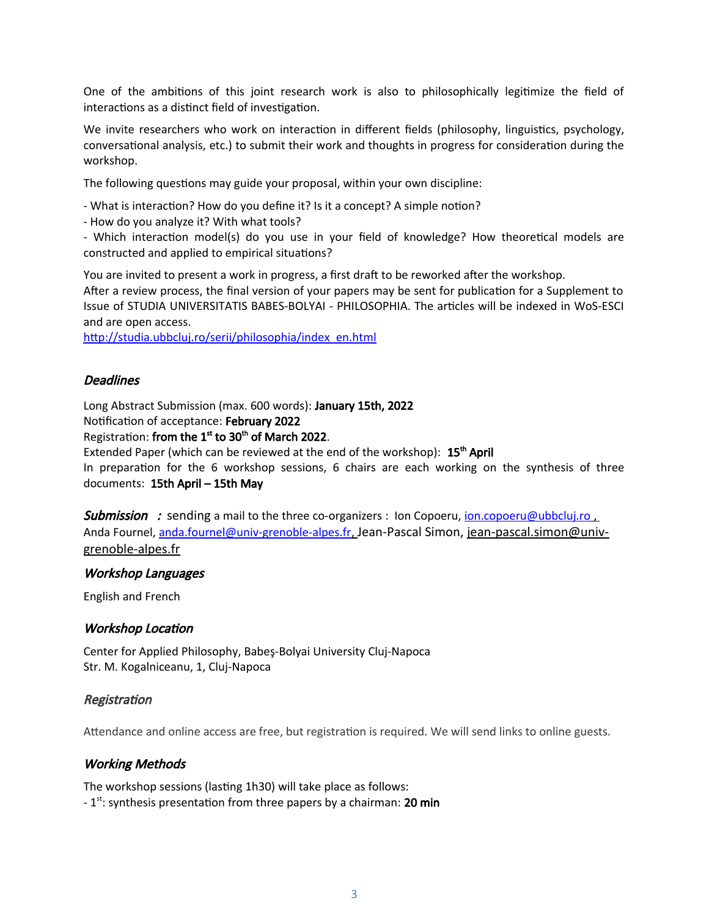One of the ambitions of this joint research work is also to philosophically legitimize the field of interactions as a distinct field of investigation.

We invite researchers who work on interaction in different fields (philosophy, linguistics, psychology, conversational analysis, etc.) to submit their work and thoughts in progress for consideration during the workshop.

The following questions may guide your proposal, within your own discipline:

- What is interaction? How do you define it? Is it a concept? A simple notion?

- How do you analyze it? With what tools?

- Which interaction model(s) do you use in your field of knowledge? How theoretical models are constructed and applied to empirical situations?

You are invited to present a work in progress, a first draft to be reworked after the workshop.

After a review process, the final version of your papers may be sent for publication for a Supplement to Issue of STUDIA UNIVERSITATIS BABES-BOLYAI - PHILOSOPHIA. The articles will be indexed in WoS-ESCI and are open access.

http://studia.ubbcluj.ro/serii/philosophia/index\_en.html

#### **Deadlines**

Long Abstract Submission (max. 600 words): January 15th, 2022

Notification of acceptance: February 2022

Registration: from the  $1<sup>st</sup>$  to 30<sup>th</sup> of March 2022.

Extended Paper (which can be reviewed at the end of the workshop): 15<sup>th</sup> April

In preparation for the 6 workshop sessions, 6 chairs are each working on the synthesis of three documents: 15th April – 15th May

**Submission** : sending a mail to the three co-organizers : Ion Copoeru, [ion.copoeru@ubbcluj.ro](mailto:ion.copoeru@ubbcluj.ro) Anda Fournel, [anda.fournel@univ-grenoble-alpes.fr](mailto:anda.fournel@univ-grenoble-alpes.fr), Jean-Pascal Simon, [jean-pascal.simon@univ](mailto:jean-pascal.simon@univ-grenoble-alpes.fr)[grenoble-alpes.fr](mailto:jean-pascal.simon@univ-grenoble-alpes.fr)

#### Workshop Languages

English and French

#### Workshop Location

Center for Applied Philosophy, Babeş-Bolyai University Cluj-Napoca Str. M. Kogalniceanu, 1, Cluj-Napoca

#### Registration

Attendance and online access are free, but registration is required. We will send links to online guests.

#### Working Methods

The workshop sessions (lasting 1h30) will take place as follows:

 $-1<sup>st</sup>$ : synthesis presentation from three papers by a chairman: 20 min